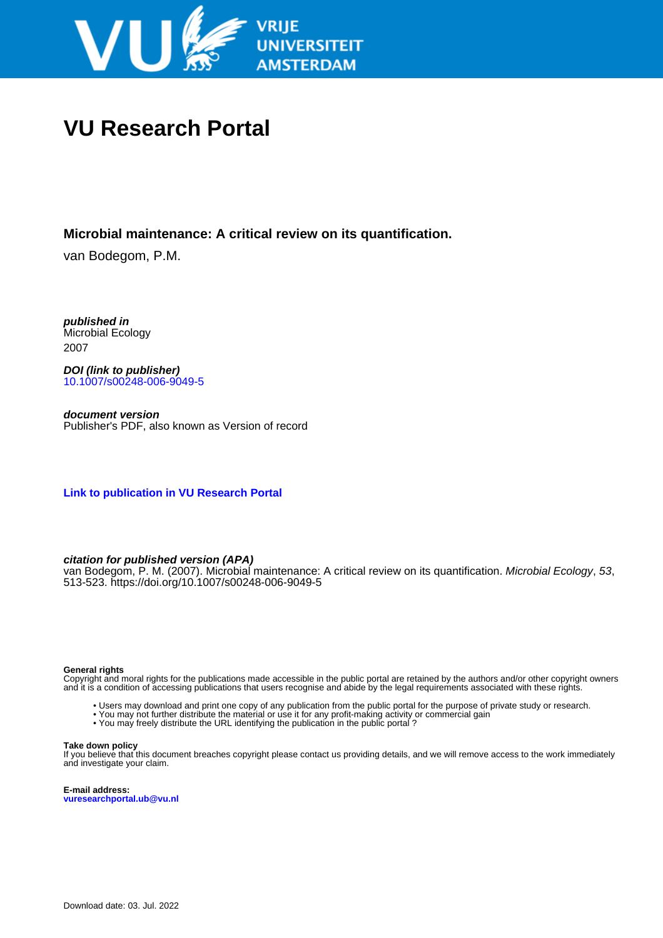

# **VU Research Portal**

### **Microbial maintenance: A critical review on its quantification.**

van Bodegom, P.M.

**published in** Microbial Ecology 2007

**DOI (link to publisher)** [10.1007/s00248-006-9049-5](https://doi.org/10.1007/s00248-006-9049-5)

**document version** Publisher's PDF, also known as Version of record

**[Link to publication in VU Research Portal](https://research.vu.nl/en/publications/9b36676c-9c88-463c-ad4f-72f5ceadea64)**

#### **citation for published version (APA)**

van Bodegom, P. M. (2007). Microbial maintenance: A critical review on its quantification. Microbial Ecology, 53, 513-523.<https://doi.org/10.1007/s00248-006-9049-5>

#### **General rights**

Copyright and moral rights for the publications made accessible in the public portal are retained by the authors and/or other copyright owners and it is a condition of accessing publications that users recognise and abide by the legal requirements associated with these rights.

- Users may download and print one copy of any publication from the public portal for the purpose of private study or research.
- You may not further distribute the material or use it for any profit-making activity or commercial gain
- You may freely distribute the URL identifying the publication in the public portal ?

#### **Take down policy**

If you believe that this document breaches copyright please contact us providing details, and we will remove access to the work immediately and investigate your claim.

**E-mail address: vuresearchportal.ub@vu.nl**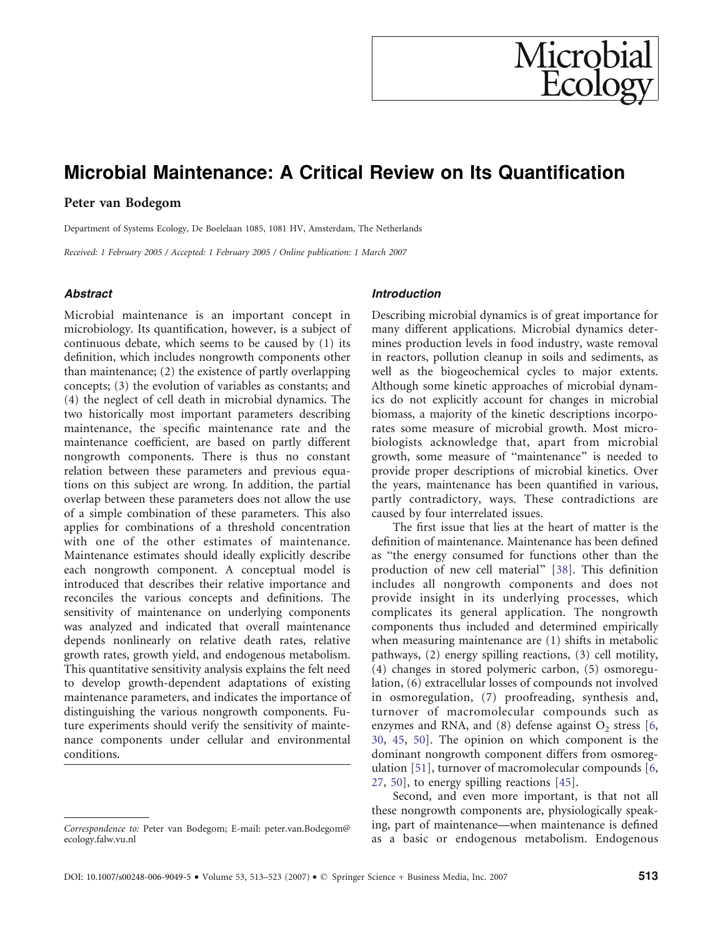## <span id="page-1-0"></span>Microbial Maintenance: A Critical Review on Its Quantification

#### Peter van Bodegom

Department of Systems Ecology, De Boelelaan 1085, 1081 HV, Amsterdam, The Netherlands

Received: 1 February 2005 / Accepted: 1 February 2005 / Online publication: 1 March 2007

#### **Abstract**

Microbial maintenance is an important concept in microbiology. Its quantification, however, is a subject of continuous debate, which seems to be caused by (1) its definition, which includes nongrowth components other than maintenance; (2) the existence of partly overlapping concepts; (3) the evolution of variables as constants; and (4) the neglect of cell death in microbial dynamics. The two historically most important parameters describing maintenance, the specific maintenance rate and the maintenance coefficient, are based on partly different nongrowth components. There is thus no constant relation between these parameters and previous equations on this subject are wrong. In addition, the partial overlap between these parameters does not allow the use of a simple combination of these parameters. This also applies for combinations of a threshold concentration with one of the other estimates of maintenance. Maintenance estimates should ideally explicitly describe each nongrowth component. A conceptual model is introduced that describes their relative importance and reconciles the various concepts and definitions. The sensitivity of maintenance on underlying components was analyzed and indicated that overall maintenance depends nonlinearly on relative death rates, relative growth rates, growth yield, and endogenous metabolism. This quantitative sensitivity analysis explains the felt need to develop growth-dependent adaptations of existing maintenance parameters, and indicates the importance of distinguishing the various nongrowth components. Future experiments should verify the sensitivity of maintenance components under cellular and environmental conditions.

#### Introduction

Describing microbial dynamics is of great importance for many different applications. Microbial dynamics determines production levels in food industry, waste removal in reactors, pollution cleanup in soils and sediments, as well as the biogeochemical cycles to major extents. Although some kinetic approaches of microbial dynamics do not explicitly account for changes in microbial biomass, a majority of the kinetic descriptions incorporates some measure of microbial growth. Most microbiologists acknowledge that, apart from microbial growth, some measure of "maintenance" is needed to provide proper descriptions of microbial kinetics. Over the years, maintenance has been quantified in various, partly contradictory, ways. These contradictions are caused by four interrelated issues.

Microbia

Ecolo

The first issue that lies at the heart of matter is the definition of maintenance. Maintenance has been defined as "the energy consumed for functions other than the production of new cell material^ [[38\]](#page-10-0). This definition includes all nongrowth components and does not provide insight in its underlying processes, which complicates its general application. The nongrowth components thus included and determined empirically when measuring maintenance are (1) shifts in metabolic pathways, (2) energy spilling reactions, (3) cell motility, (4) changes in stored polymeric carbon, (5) osmoregulation, (6) extracellular losses of compounds not involved in osmoregulation, (7) proofreading, synthesis and, turnover of macromolecular compounds such as enzymes and RNA, and  $(8)$  defense against  $O<sub>2</sub>$  stress  $[6, 6]$  $[6, 6]$  $[6, 6]$ [30](#page-10-0), [45,](#page-10-0) [50](#page-11-0)]. The opinion on which component is the dominant nongrowth component differs from osmoregulation [[51\]](#page-11-0), turnover of macromolecular compounds [[6,](#page-10-0) [27](#page-10-0), [50\]](#page-11-0), to energy spilling reactions [[45\]](#page-10-0).

Second, and even more important, is that not all these nongrowth components are, physiologically speaking, part of maintenance—when maintenance is defined Correspondence to: Peter van Bodegom; E-mail: peter.van.Bodegom@ Ing, part of maintenance—when maintenance is defined ecology.falw.vu.nl as a basic or endogenous metabolism. Endogenous

ecology.falw.vu.nl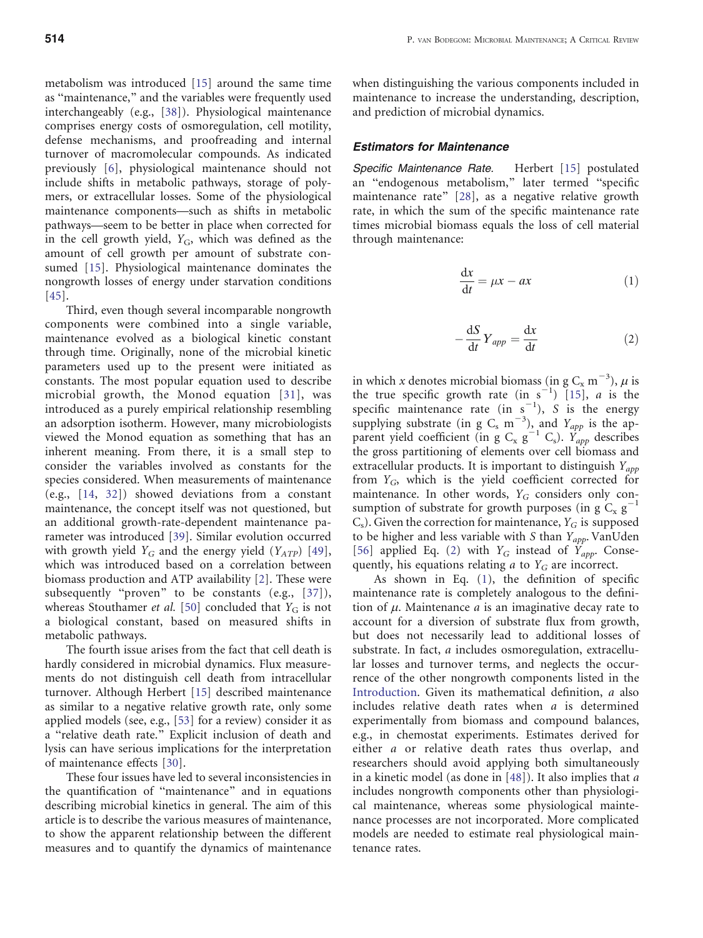<span id="page-2-0"></span>metabolism was introduced [\[15](#page-10-0)] around the same time as "maintenance," and the variables were frequently used interchangeably (e.g., [[38\]](#page-10-0)). Physiological maintenance comprises energy costs of osmoregulation, cell motility, defense mechanisms, and proofreading and internal turnover of macromolecular compounds. As indicated previously [[6\]](#page-10-0), physiological maintenance should not include shifts in metabolic pathways, storage of polymers, or extracellular losses. Some of the physiological maintenance components—such as shifts in metabolic pathways—seem to be better in place when corrected for in the cell growth yield,  $Y_G$ , which was defined as the amount of cell growth per amount of substrate consumed [\[15](#page-10-0)]. Physiological maintenance dominates the nongrowth losses of energy under starvation conditions [[45\]](#page-10-0).

Third, even though several incomparable nongrowth components were combined into a single variable, maintenance evolved as a biological kinetic constant through time. Originally, none of the microbial kinetic parameters used up to the present were initiated as constants. The most popular equation used to describe microbial growth, the Monod equation [[31](#page-10-0)], was introduced as a purely empirical relationship resembling an adsorption isotherm. However, many microbiologists viewed the Monod equation as something that has an inherent meaning. From there, it is a small step to consider the variables involved as constants for the species considered. When measurements of maintenance (e.g., [[14](#page-10-0), [32\]](#page-10-0)) showed deviations from a constant maintenance, the concept itself was not questioned, but an additional growth-rate-dependent maintenance parameter was introduced [\[39](#page-10-0)]. Similar evolution occurred with growth yield  $Y_G$  and the energy yield  $(Y_{ATP})$  [[49\]](#page-11-0), which was introduced based on a correlation between biomass production and ATP availability [[2\]](#page-10-0). These were subsequently "proven" to be constants (e.g., [\[37](#page-10-0)]), whereas Stouthamer et al. [\[50](#page-11-0)] concluded that  $Y_G$  is not a biological constant, based on measured shifts in metabolic pathways.

The fourth issue arises from the fact that cell death is hardly considered in microbial dynamics. Flux measurements do not distinguish cell death from intracellular turnover. Although Herbert [[15\]](#page-10-0) described maintenance as similar to a negative relative growth rate, only some applied models (see, e.g., [\[53](#page-11-0)] for a review) consider it as a "relative death rate." Explicit inclusion of death and lysis can have serious implications for the interpretation of maintenance effects [[30\]](#page-10-0).

These four issues have led to several inconsistencies in the quantification of "maintenance" and in equations describing microbial kinetics in general. The aim of this article is to describe the various measures of maintenance, to show the apparent relationship between the different measures and to quantify the dynamics of maintenance

when distinguishing the various components included in maintenance to increase the understanding, description, and prediction of microbial dynamics.

#### Estimators for Maintenance

Specific Maintenance Rate. Herbert [[15\]](#page-10-0) postulated an "endogenous metabolism," later termed "specific maintenance rate" [\[28](#page-10-0)], as a negative relative growth rate, in which the sum of the specific maintenance rate times microbial biomass equals the loss of cell material through maintenance:

$$
\frac{\mathrm{d}x}{\mathrm{d}t} = \mu x - ax \tag{1}
$$

$$
-\frac{\mathrm{d}S}{\mathrm{d}t}Y_{app} = \frac{\mathrm{d}x}{\mathrm{d}t} \tag{2}
$$

in which x denotes microbial biomass (in g  $C_x$  m<sup>-3</sup>),  $\mu$  is the true specific growth rate (in  $s^{-1}$ ) [[15](#page-10-0)], *a* is the specific maintenance rate  $(in \space s^{-1})$ , S is the energy supplying substrate (in g  $C_s$  m<sup>-3</sup>), and  $Y_{app}$  is the apparent yield coefficient (in g  $C_x$  g<sup>-1</sup>  $C_s$ ).  $Y_{app}$  describes the gross partitioning of elements over cell biomass and extracellular products. It is important to distinguish  $Y_{app}$ from  $Y_G$ , which is the yield coefficient corrected for maintenance. In other words,  $Y_G$  considers only consumption of substrate for growth purposes (in g  $C_x$  g<sup>-</sup>  $C_s$ ). Given the correction for maintenance,  $Y_G$  is supposed to be higher and less variable with S than  $Y_{app}$ . VanUden [[56\]](#page-11-0) applied Eq. (2) with  $Y_G$  instead of  $\overline{Y}_{app}$ . Consequently, his equations relating  $a$  to  $Y_G$  are incorrect.

As shown in Eq. (1), the definition of specific maintenance rate is completely analogous to the definition of  $\mu$ . Maintenance  $a$  is an imaginative decay rate to account for a diversion of substrate flux from growth, but does not necessarily lead to additional losses of substrate. In fact, a includes osmoregulation, extracellular losses and turnover terms, and neglects the occurrence of the other nongrowth components listed in the [Introduction](#page-1-0). Given its mathematical definition, a also includes relative death rates when a is determined experimentally from biomass and compound balances, e.g., in chemostat experiments. Estimates derived for either a or relative death rates thus overlap, and researchers should avoid applying both simultaneously in a kinetic model (as done in [[48\]](#page-11-0)). It also implies that a includes nongrowth components other than physiological maintenance, whereas some physiological maintenance processes are not incorporated. More complicated models are needed to estimate real physiological maintenance rates.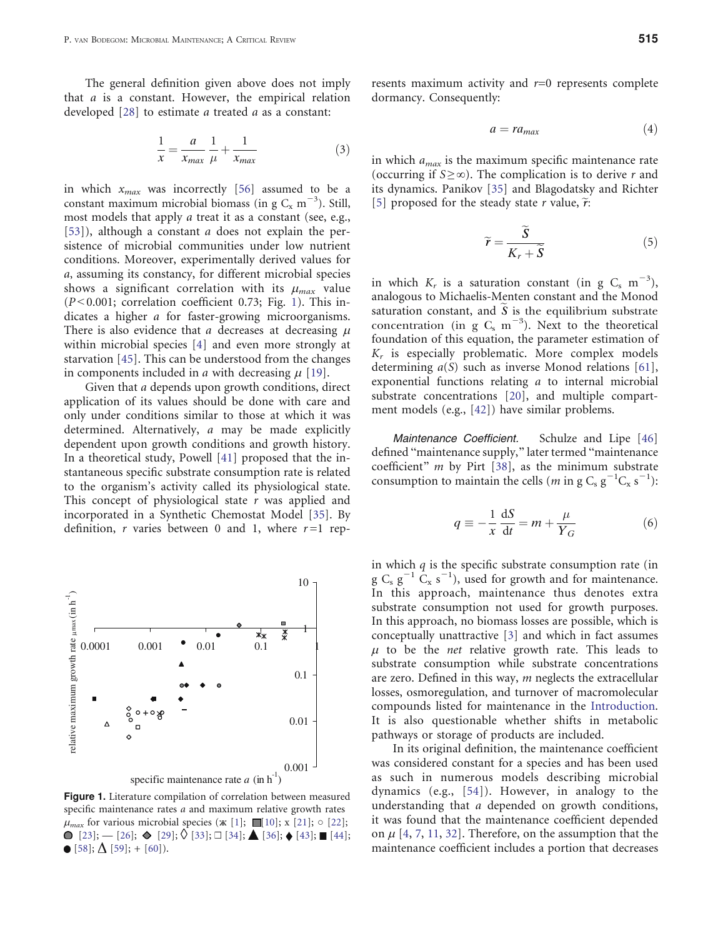<span id="page-3-0"></span>The general definition given above does not imply that a is a constant. However, the empirical relation developed [[28\]](#page-10-0) to estimate a treated a as a constant:

$$
\frac{1}{x} = \frac{a}{x_{max}} \frac{1}{\mu} + \frac{1}{x_{max}} \tag{3}
$$

in which  $x_{max}$  was incorrectly [[56\]](#page-11-0) assumed to be a constant maximum microbial biomass (in g  $C_x$  m<sup>-3</sup>). Still, most models that apply *a* treat it as a constant (see, e.g., [[53\]](#page-11-0)), although a constant *a* does not explain the persistence of microbial communities under low nutrient conditions. Moreover, experimentally derived values for a, assuming its constancy, for different microbial species shows a significant correlation with its  $\mu_{max}$  value  $(P<0.001;$  correlation coefficient 0.73; Fig. 1). This indicates a higher a for faster-growing microorganisms. There is also evidence that a decreases at decreasing  $\mu$ within microbial species [\[4](#page-10-0)] and even more strongly at starvation [[45\]](#page-10-0). This can be understood from the changes in components included in *a* with decreasing  $\mu$  [\[19](#page-10-0)].

Given that a depends upon growth conditions, direct application of its values should be done with care and only under conditions similar to those at which it was determined. Alternatively, a may be made explicitly dependent upon growth conditions and growth history. In a theoretical study, Powell [[41\]](#page-10-0) proposed that the instantaneous specific substrate consumption rate is related to the organism's activity called its physiological state. This concept of physiological state  $r$  was applied and incorporated in a Synthetic Chemostat Model [\[35](#page-10-0)]. By definition, r varies between 0 and 1, where  $r=1$  rep-



Figure 1. Literature compilation of correlation between measured specific maintenance rates *a* and maximum relative growth rates  $\mu_{max}$  for various microbial species ( $\mathbf{x}$  [[1](#page-9-0)];  $\blacksquare$ [\[10](#page-10-0)];  $\mathbf{x}$  [\[21\]](#page-10-0);  $\circ$  [[22](#page-10-0)];  $\bigcirc$  [[23](#page-10-0)];  $\bigcirc$  [[26](#page-10-0)];  $\bigcirc$  [\[29\]](#page-10-0);  $\bigcirc$  [[33](#page-10-0)];  $\Box$  [\[34\]](#page-10-0);  $\bigcirc$  [[36](#page-10-0)];  $\bigcirc$  [\[43\]](#page-10-0);  $\blacksquare$  [\[44\]](#page-10-0);  $\bullet$  [[58](#page-11-0)];  $\Delta$  [\[59\]](#page-11-0); + [\[60\]](#page-11-0)).

resents maximum activity and  $r=0$  represents complete dormancy. Consequently:

$$
a = r a_{max} \tag{4}
$$

in which  $a_{max}$  is the maximum specific maintenance rate (occurring if  $S \ge \infty$ ). The complication is to derive r and its dynamics. Panikov [\[35](#page-10-0)] and Blagodatsky and Richter [[5\]](#page-10-0) proposed for the steady state r value,  $\tilde{r}$ :

$$
\widetilde{r} = \frac{\widetilde{S}}{K_r + \widetilde{S}}
$$
\n(5)

in which  $K_r$  is a saturation constant (in g C<sub>s</sub> m<sup>-3</sup>), analogous to Michaelis-Menten constant and the Monod saturation constant, and  $S$  is the equilibrium substrate concentration (in  $g_{\rm s}$  m<sup>-3</sup>). Next to the theoretical foundation of this equation, the parameter estimation of  $K_r$  is especially problematic. More complex models determining  $a(S)$  such as inverse Monod relations [[61\]](#page-11-0), exponential functions relating a to internal microbial substrate concentrations [\[20](#page-10-0)], and multiple compartment models (e.g., [[42](#page-10-0)]) have similar problems.

Maintenance Coefficient. Schulze and Lipe [\[46](#page-10-0)] defined "maintenance supply," later termed "maintenance coefficient"  $m$  by Pirt [[38\]](#page-10-0), as the minimum substrate consumption to maintain the cells (*m* in g C<sub>s</sub>  $g^{-1}C_x$   $s^{-1}$ ):

$$
q \equiv -\frac{1}{x}\frac{dS}{dt} = m + \frac{\mu}{Y_G} \tag{6}
$$

in which  $q$  is the specific substrate consumption rate (in g  $C_s$   $g^{-1}$   $C_x$   $s^{-1}$ ), used for growth and for maintenance. In this approach, maintenance thus denotes extra substrate consumption not used for growth purposes. In this approach, no biomass losses are possible, which is conceptually unattractive [\[3](#page-10-0)] and which in fact assumes  $\mu$  to be the *net* relative growth rate. This leads to substrate consumption while substrate concentrations are zero. Defined in this way,  $m$  neglects the extracellular losses, osmoregulation, and turnover of macromolecular compounds listed for maintenance in the [Introduction.](#page-1-0) It is also questionable whether shifts in metabolic pathways or storage of products are included.

In its original definition, the maintenance coefficient was considered constant for a species and has been used as such in numerous models describing microbial dynamics (e.g., [[54\]](#page-11-0)). However, in analogy to the understanding that a depended on growth conditions, it was found that the maintenance coefficient depended on  $\mu$  [[4,](#page-10-0) [7,](#page-10-0) [11](#page-10-0), [32](#page-10-0)]. Therefore, on the assumption that the maintenance coefficient includes a portion that decreases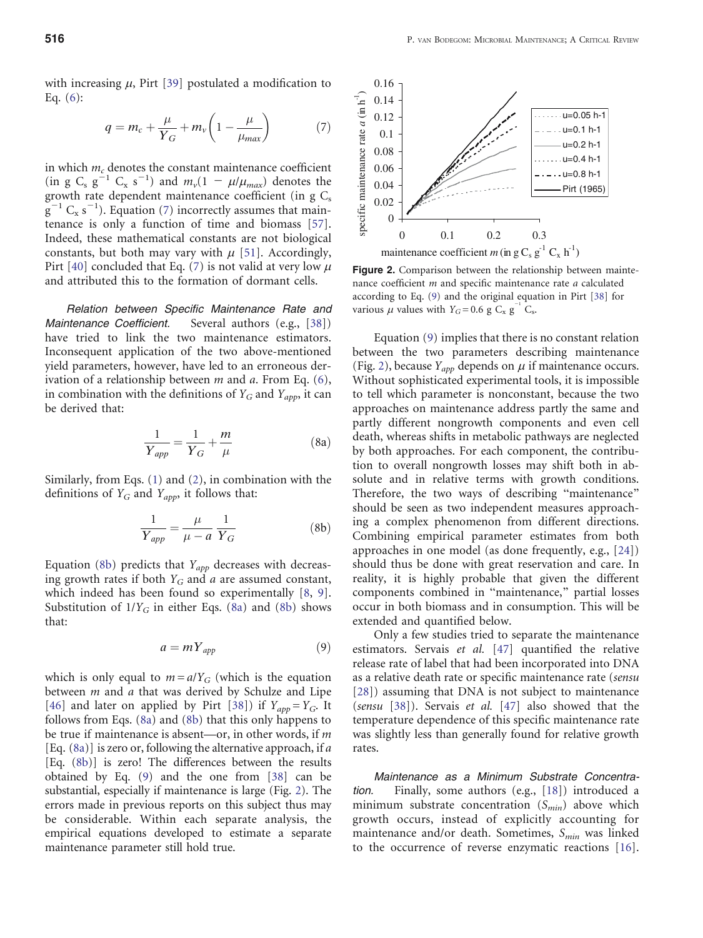<span id="page-4-0"></span>with increasing  $\mu$ , Pirt [[39\]](#page-10-0) postulated a modification to Eq. ([6\)](#page-3-0):

$$
q = m_c + \frac{\mu}{Y_G} + m_v \left( 1 - \frac{\mu}{\mu_{max}} \right) \tag{7}
$$

in which  $m_c$  denotes the constant maintenance coefficient (in g C<sub>s</sub> g<sup>-1</sup> C<sub>x</sub> s<sup>-1</sup>) and  $m_v(1 - \mu/\mu_{max})$  denotes the growth rate dependent maintenance coefficient (in  $g \, C_s$  $g^{-1}$  C<sub>x</sub> s<sup>-1</sup>). Equation (7) incorrectly assumes that maintenance is only a function of time and biomass [[57\]](#page-11-0). Indeed, these mathematical constants are not biological constants, but both may vary with  $\mu$  [\[51](#page-11-0)]. Accordingly, Pirt [\[40](#page-10-0)] concluded that Eq. (7) is not valid at very low  $\mu$ and attributed this to the formation of dormant cells.

Relation between Specific Maintenance Rate and Maintenance Coefficient. Several authors (e.g., [\[38](#page-10-0)]) have tried to link the two maintenance estimators. Inconsequent application of the two above-mentioned yield parameters, however, have led to an erroneous derivation of a relationship between  $m$  and  $a$ . From Eq. ([6\)](#page-3-0), in combination with the definitions of  $Y_G$  and  $Y_{app}$ , it can be derived that:

$$
\frac{1}{Y_{app}} = \frac{1}{Y_G} + \frac{m}{\mu} \tag{8a}
$$

Similarly, from Eqs. ([1\)](#page-2-0) and ([2\)](#page-2-0), in combination with the definitions of  $Y_G$  and  $Y_{app}$ , it follows that:

$$
\frac{1}{Y_{app}} = \frac{\mu}{\mu - a} \frac{1}{Y_G} \tag{8b}
$$

Equation (8b) predicts that  $Y_{app}$  decreases with decreasing growth rates if both  $Y_G$  and a are assumed constant, which indeed has been found so experimentally [[8,](#page-10-0) [9\]](#page-10-0). Substitution of  $1/Y_G$  in either Eqs. (8a) and (8b) shows that:

$$
a = mY_{app} \tag{9}
$$

which is only equal to  $m = a/Y_G$  (which is the equation between  $m$  and  $a$  that was derived by Schulze and Lipe [[46\]](#page-10-0) and later on applied by Pirt [\[38](#page-10-0)]) if  $Y_{app} = Y_G$ . It follows from Eqs. (8a) and (8b) that this only happens to be true if maintenance is absent—or, in other words, if m [Eq.  $(8a)$ ] is zero or, following the alternative approach, if a [Eq. (8b)] is zero! The differences between the results obtained by Eq. (9) and the one from [\[38](#page-10-0)] can be substantial, especially if maintenance is large (Fig. 2). The errors made in previous reports on this subject thus may be considerable. Within each separate analysis, the empirical equations developed to estimate a separate maintenance parameter still hold true.



Figure 2. Comparison between the relationship between maintenance coefficient *m* and specific maintenance rate *a* calculated according to Eq. (9) and the original equation in Pirt [[38\]](#page-10-0) for various  $\mu$  values with  $Y_G = 0.6$  g  $C_x$  g<sup>-1</sup>  $C_s$ .

Equation (9) implies that there is no constant relation between the two parameters describing maintenance (Fig. 2), because  $Y_{app}$  depends on  $\mu$  if maintenance occurs. Without sophisticated experimental tools, it is impossible to tell which parameter is nonconstant, because the two approaches on maintenance address partly the same and partly different nongrowth components and even cell death, whereas shifts in metabolic pathways are neglected by both approaches. For each component, the contribution to overall nongrowth losses may shift both in absolute and in relative terms with growth conditions. Therefore, the two ways of describing "maintenance" should be seen as two independent measures approaching a complex phenomenon from different directions. Combining empirical parameter estimates from both approaches in one model (as done frequently, e.g., [\[24](#page-10-0)]) should thus be done with great reservation and care. In reality, it is highly probable that given the different components combined in "maintenance," partial losses occur in both biomass and in consumption. This will be extended and quantified below.

Only a few studies tried to separate the maintenance estimators. Servais et al. [\[47](#page-10-0)] quantified the relative release rate of label that had been incorporated into DNA as a relative death rate or specific maintenance rate (sensu [[28\]](#page-10-0)) assuming that DNA is not subject to maintenance (sensu [\[38](#page-10-0)]). Servais et al. [[47\]](#page-10-0) also showed that the temperature dependence of this specific maintenance rate was slightly less than generally found for relative growth rates.

Maintenance as a Minimum Substrate Concentration. Finally, some authors (e.g., [[18\]](#page-10-0)) introduced a minimum substrate concentration  $(S_{min})$  above which growth occurs, instead of explicitly accounting for maintenance and/or death. Sometimes,  $S_{min}$  was linked to the occurrence of reverse enzymatic reactions [[16\]](#page-10-0).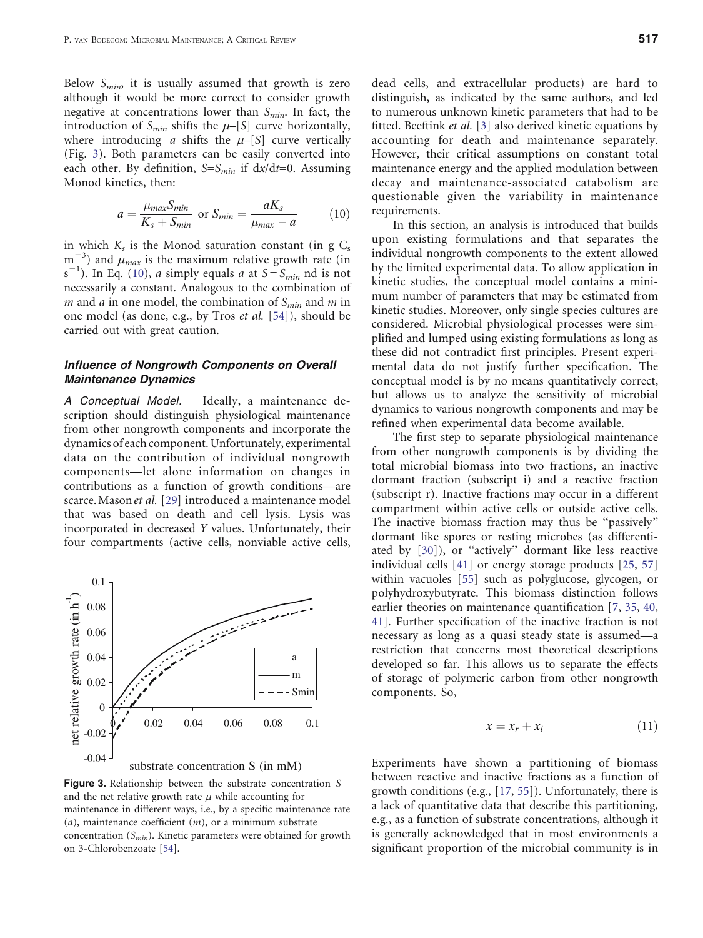<span id="page-5-0"></span>Below  $S_{min}$ , it is usually assumed that growth is zero although it would be more correct to consider growth negative at concentrations lower than  $S_{min}$ . In fact, the introduction of  $S_{min}$  shifts the  $\mu$ –[S] curve horizontally, where introducing a shifts the  $\mu$ –[S] curve vertically (Fig. 3). Both parameters can be easily converted into each other. By definition,  $S=S_{min}$  if  $dx/dt=0$ . Assuming Monod kinetics, then:

$$
a = \frac{\mu_{max} S_{min}}{K_s + S_{min}} \text{ or } S_{min} = \frac{aK_s}{\mu_{max} - a}
$$
 (10)

in which  $K_s$  is the Monod saturation constant (in g  $C_s$  $m^{-3}$ ) and  $\mu_{max}$  is the maximum relative growth rate (in  $s^{-1}$ ). In Eq. (10), *a* simply equals *a* at  $S = S_{min}$  nd is not necessarily a constant. Analogous to the combination of m and a in one model, the combination of  $S_{min}$  and m in one model (as done, e.g., by Tros et al. [[54](#page-11-0)]), should be carried out with great caution.

#### Influence of Nongrowth Components on Overall Maintenance Dynamics

A Conceptual Model. Ideally, a maintenance description should distinguish physiological maintenance from other nongrowth components and incorporate the dynamics of each component. Unfortunately, experimental data on the contribution of individual nongrowth components—let alone information on changes in contributions as a function of growth conditions—are scarce. Mason et al. [[29\]](#page-10-0) introduced a maintenance model that was based on death and cell lysis. Lysis was incorporated in decreased Y values. Unfortunately, their four compartments (active cells, nonviable active cells,



Figure 3. Relationship between the substrate concentration S and the net relative growth rate  $\mu$  while accounting for maintenance in different ways, i.e., by a specific maintenance rate  $(a)$ , maintenance coefficient  $(m)$ , or a minimum substrate concentration  $(S_{min})$ . Kinetic parameters were obtained for growth on 3-Chlorobenzoate [[54](#page-11-0)].

dead cells, and extracellular products) are hard to distinguish, as indicated by the same authors, and led to numerous unknown kinetic parameters that had to be fitted. Beeftink et al. [\[3](#page-10-0)] also derived kinetic equations by accounting for death and maintenance separately. However, their critical assumptions on constant total maintenance energy and the applied modulation between decay and maintenance-associated catabolism are questionable given the variability in maintenance requirements.

In this section, an analysis is introduced that builds upon existing formulations and that separates the individual nongrowth components to the extent allowed by the limited experimental data. To allow application in kinetic studies, the conceptual model contains a minimum number of parameters that may be estimated from kinetic studies. Moreover, only single species cultures are considered. Microbial physiological processes were simplified and lumped using existing formulations as long as these did not contradict first principles. Present experimental data do not justify further specification. The conceptual model is by no means quantitatively correct, but allows us to analyze the sensitivity of microbial dynamics to various nongrowth components and may be refined when experimental data become available.

The first step to separate physiological maintenance from other nongrowth components is by dividing the total microbial biomass into two fractions, an inactive dormant fraction (subscript i) and a reactive fraction (subscript r). Inactive fractions may occur in a different compartment within active cells or outside active cells. The inactive biomass fraction may thus be "passively" dormant like spores or resting microbes (as differentiated by  $[30]$  $[30]$ ), or "actively" dormant like less reactive individual cells [[41\]](#page-10-0) or energy storage products [\[25](#page-10-0), [57](#page-11-0)] within vacuoles [\[55](#page-11-0)] such as polyglucose, glycogen, or polyhydroxybutyrate. This biomass distinction follows earlier theories on maintenance quantification [\[7](#page-10-0), [35,](#page-10-0) [40,](#page-10-0) [41](#page-10-0)]. Further specification of the inactive fraction is not necessary as long as a quasi steady state is assumed—a restriction that concerns most theoretical descriptions developed so far. This allows us to separate the effects of storage of polymeric carbon from other nongrowth components. So,

$$
x = x_r + x_i \tag{11}
$$

Experiments have shown a partitioning of biomass between reactive and inactive fractions as a function of growth conditions (e.g., [[17,](#page-10-0) [55](#page-11-0)]). Unfortunately, there is a lack of quantitative data that describe this partitioning, e.g., as a function of substrate concentrations, although it is generally acknowledged that in most environments a significant proportion of the microbial community is in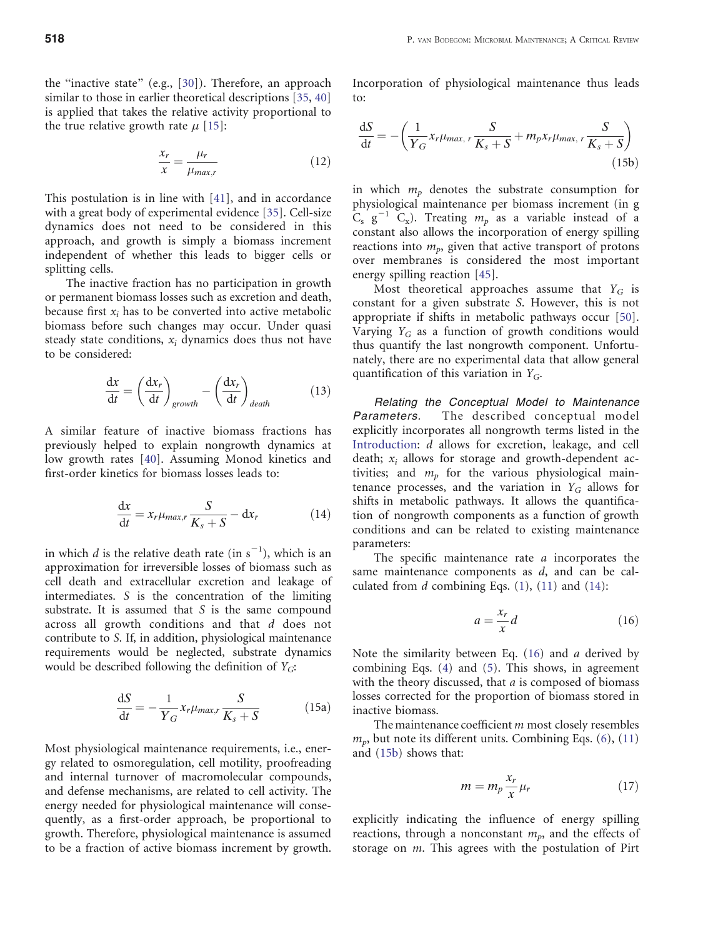<span id="page-6-0"></span>the "inactive state" (e.g.,  $[30]$  $[30]$ ). Therefore, an approach similar to those in earlier theoretical descriptions [[35,](#page-10-0) [40](#page-10-0)] is applied that takes the relative activity proportional to the true relative growth rate  $\mu$  [\[15](#page-10-0)]:

$$
\frac{x_r}{x} = \frac{\mu_r}{\mu_{max,r}}
$$
(12)

This postulation is in line with [[41\]](#page-10-0), and in accordance with a great body of experimental evidence [\[35\]](#page-10-0). Cell-size dynamics does not need to be considered in this approach, and growth is simply a biomass increment independent of whether this leads to bigger cells or splitting cells.

The inactive fraction has no participation in growth or permanent biomass losses such as excretion and death, because first  $x_i$  has to be converted into active metabolic biomass before such changes may occur. Under quasi steady state conditions,  $x_i$  dynamics does thus not have to be considered:

$$
\frac{\mathrm{d}x}{\mathrm{d}t} = \left(\frac{\mathrm{d}x_r}{\mathrm{d}t}\right)_{growth} - \left(\frac{\mathrm{d}x_r}{\mathrm{d}t}\right)_{death} \tag{13}
$$

A similar feature of inactive biomass fractions has previously helped to explain nongrowth dynamics at low growth rates [\[40\]](#page-10-0). Assuming Monod kinetics and first-order kinetics for biomass losses leads to:

$$
\frac{\mathrm{d}x}{\mathrm{d}t} = x_r \mu_{max,r} \frac{S}{K_s + S} - \mathrm{d}x_r \tag{14}
$$

in which *d* is the relative death rate (in  $s^{-1}$ ), which is an approximation for irreversible losses of biomass such as cell death and extracellular excretion and leakage of intermediates. S is the concentration of the limiting substrate. It is assumed that S is the same compound across all growth conditions and that d does not contribute to S. If, in addition, physiological maintenance requirements would be neglected, substrate dynamics would be described following the definition of  $Y_G$ :

$$
\frac{\mathrm{d}S}{\mathrm{d}t} = -\frac{1}{Y_G} x_r \mu_{max,r} \frac{S}{K_s + S} \tag{15a}
$$

Most physiological maintenance requirements, i.e., energy related to osmoregulation, cell motility, proofreading and internal turnover of macromolecular compounds, and defense mechanisms, are related to cell activity. The energy needed for physiological maintenance will consequently, as a first-order approach, be proportional to growth. Therefore, physiological maintenance is assumed to be a fraction of active biomass increment by growth. Incorporation of physiological maintenance thus leads to:

$$
\frac{\mathrm{d}S}{\mathrm{d}t} = -\left(\frac{1}{Y_G}x_r\mu_{max, r}\frac{S}{K_s + S} + m_p x_r\mu_{max, r}\frac{S}{K_s + S}\right) \tag{15b}
$$

in which  $m_p$  denotes the substrate consumption for physiological maintenance per biomass increment (in g  $C_s$   $g^{-1}$   $C_x$ ). Treating  $m_p$  as a variable instead of a constant also allows the incorporation of energy spilling reactions into  $m_p$ , given that active transport of protons over membranes is considered the most important energy spilling reaction [[45\]](#page-10-0).

Most theoretical approaches assume that  $Y_G$  is constant for a given substrate S. However, this is not appropriate if shifts in metabolic pathways occur [[50\]](#page-11-0). Varying  $Y_G$  as a function of growth conditions would thus quantify the last nongrowth component. Unfortunately, there are no experimental data that allow general quantification of this variation in  $Y_G$ .

Relating the Conceptual Model to Maintenance Parameters. The described conceptual model explicitly incorporates all nongrowth terms listed in the [Introduction](#page-1-0): d allows for excretion, leakage, and cell death;  $x_i$  allows for storage and growth-dependent activities; and  $m_p$  for the various physiological maintenance processes, and the variation in  $Y_G$  allows for shifts in metabolic pathways. It allows the quantification of nongrowth components as a function of growth conditions and can be related to existing maintenance parameters:

The specific maintenance rate *a* incorporates the same maintenance components as  $d$ , and can be calculated from  $d$  combining Eqs. [\(1](#page-2-0)), [\(11](#page-5-0)) and (14):

$$
a = \frac{x_r}{x}d\tag{16}
$$

Note the similarity between Eq.  $(16)$  and a derived by combining Eqs. ([4\)](#page-3-0) and ([5\)](#page-3-0). This shows, in agreement with the theory discussed, that  $a$  is composed of biomass losses corrected for the proportion of biomass stored in inactive biomass.

The maintenance coefficient  $m$  most closely resembles  $m_p$ , but note its different units. Combining Eqs. ([6\)](#page-3-0), [\(11](#page-5-0)) and (15b) shows that:

$$
m = m_p \frac{x_r}{x} \mu_r \tag{17}
$$

explicitly indicating the influence of energy spilling reactions, through a nonconstant  $m_p$ , and the effects of storage on *m*. This agrees with the postulation of Pirt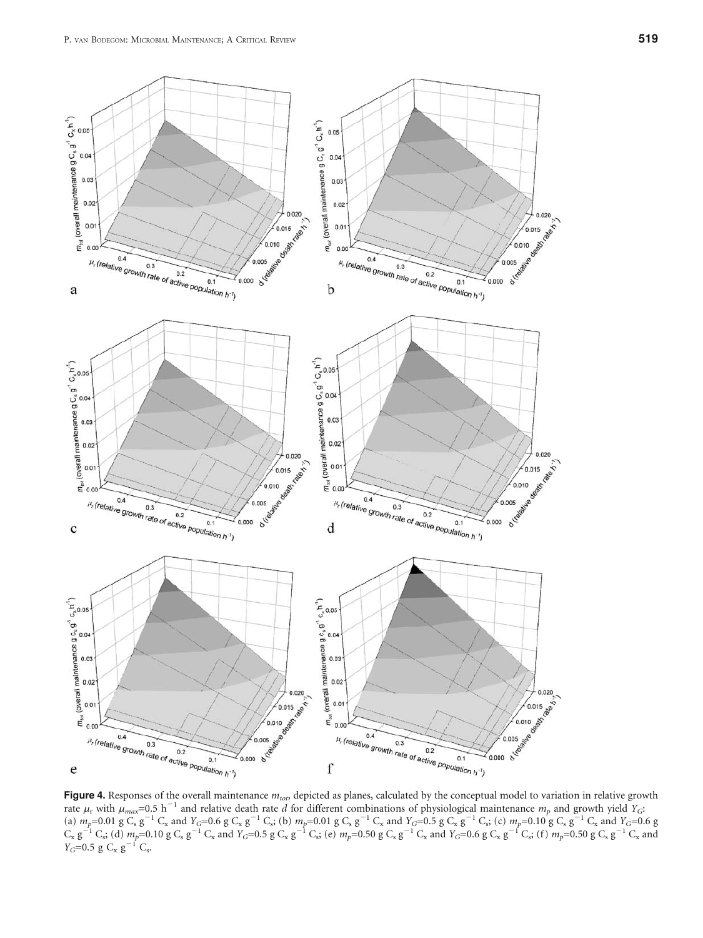<span id="page-7-0"></span>

**Figure 4.** Responses of the overall maintenance  $m_{to}$  depicted as planes, calculated by the conceptual model to variation in relative growth rate  $\mu_r$  with  $\mu_{max}$ =0.5 h<sup>-1</sup> and relative death rate *d* for different co (a)  $m_p=0.01 \text{ g }C_s \text{ g}^{-1} C_x$  and  $Y_G=0.6 \text{ g }C_x \text{ g}^{-1} C_s$ ; (b)  $m_p=0.01 \text{ g }C_s \text{ g}^{-1} C_x$  and  $Y_G=0.5 \text{ g }C_x \text{ g}^{-1} C_s$ ; (c)  $m_p=0.10 \text{ g }C_s \text{ g}^{-1} C_x$  and  $Y_G=0.6 \text{ g }C_s$  $C_x$  g<sup>-1</sup> C<sub>s</sub>; (d)  $m_p$ =0.10 g C<sub>s</sub> g<sup>-1</sup> C<sub>x</sub> and  $Y_G$ =0.5 g C<sub>x</sub> g<sup>-1</sup> C<sub>s</sub>; (e)  $m_p$ =0.50 g C<sub>s</sub> g<sup>-1</sup> C<sub>x</sub> and  $Y_G$ =0.6 g C<sub>x</sub> g<sup>-1</sup> C<sub>s</sub>; (f)  $m_p$ =0.50 g C<sub>s</sub> g<sup>-1</sup> C<sub>x</sub> and  $Y_G=0.5 \text{ g } C_x \text{ g}^{-1} C_s.$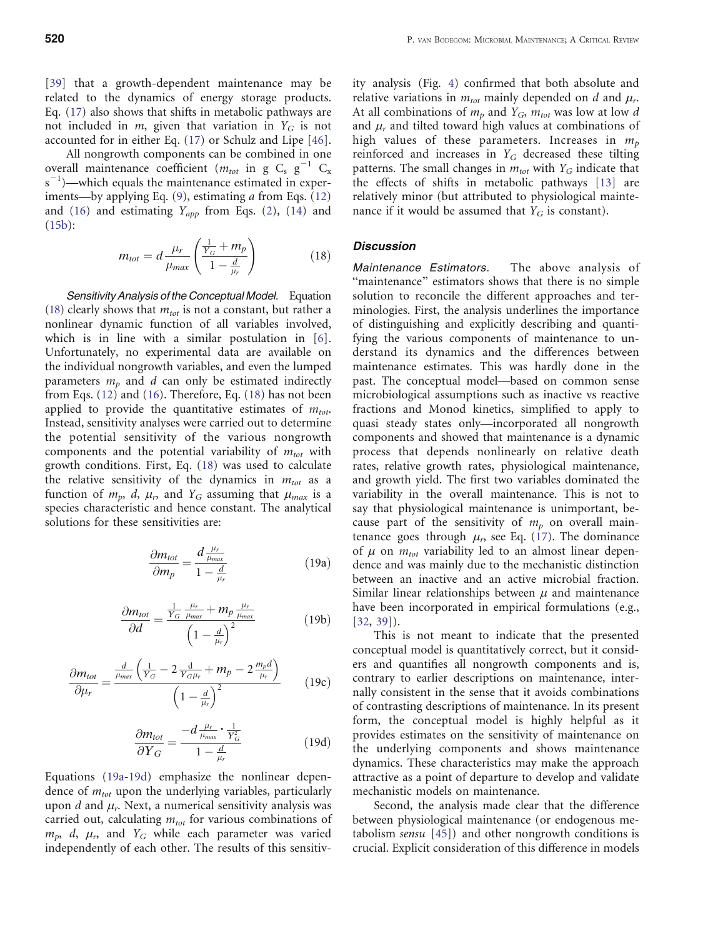[[39](#page-10-0)] that a growth-dependent maintenance may be related to the dynamics of energy storage products. Eq. [\(17](#page-6-0)) also shows that shifts in metabolic pathways are not included in  $m$ , given that variation in  $Y_G$  is not accounted for in either Eq. [\(17](#page-6-0)) or Schulz and Lipe [[46\]](#page-10-0).

All nongrowth components can be combined in one overall maintenance coefficient ( $m_{tot}$  in g C<sub>s</sub> g<sup>-1</sup> C<sub>x</sub>  $s^{-1}$ )—which equals the maintenance estimated in experiments—by applying Eq. [\(9](#page-4-0)), estimating a from Eqs. [\(12](#page-6-0)) and ([16\)](#page-6-0) and estimating  $Y_{app}$  from Eqs. [\(2](#page-2-0)), [\(14](#page-6-0)) and  $(15b):$  $(15b):$  $(15b):$ 

$$
m_{tot} = d \frac{\mu_r}{\mu_{max}} \left( \frac{\frac{1}{Y_G} + m_p}{1 - \frac{d}{\mu_r}} \right) \tag{18}
$$

Sensitivity Analysis of the Conceptual Model. Equation (18) clearly shows that  $m_{tot}$  is not a constant, but rather a nonlinear dynamic function of all variables involved, which is in line with a similar postulation in [\[6](#page-10-0)]. Unfortunately, no experimental data are available on the individual nongrowth variables, and even the lumped parameters  $m_p$  and d can only be estimated indirectly from Eqs. [\(12](#page-6-0)) and [\(16](#page-6-0)). Therefore, Eq. (18) has not been applied to provide the quantitative estimates of  $m_{tot}$ . Instead, sensitivity analyses were carried out to determine the potential sensitivity of the various nongrowth components and the potential variability of  $m_{tot}$  with growth conditions. First, Eq. (18) was used to calculate the relative sensitivity of the dynamics in  $m_{tot}$  as a function of  $m_p$ , d,  $\mu_r$ , and  $Y_G$  assuming that  $\mu_{max}$  is a species characteristic and hence constant. The analytical solutions for these sensitivities are:

$$
\frac{\partial m_{tot}}{\partial m_p} = \frac{d \frac{\mu_r}{\mu_{max}}}{1 - \frac{d}{\mu_r}}
$$
(19a)

$$
\frac{\partial m_{tot}}{\partial d} = \frac{\frac{1}{Y_G} \frac{\mu_r}{\mu_{max}} + m_p \frac{\mu_r}{\mu_{max}}}{\left(1 - \frac{d}{\mu_r}\right)^2}
$$
(19b)

$$
\frac{\partial m_{tot}}{\partial \mu_r} = \frac{\frac{d}{\mu_{max}} \left( \frac{1}{Y_G} - 2 \frac{d}{Y_{G} \mu_r} + m_p - 2 \frac{m_p d}{\mu_r} \right)}{\left( 1 - \frac{d}{\mu_r} \right)^2}
$$
(19c)

$$
\frac{\partial m_{tot}}{\partial Y_G} = \frac{-d \frac{\mu_r}{\mu_{max}} \cdot \frac{1}{Y_G^2}}{1 - \frac{d}{\mu_r}}
$$
(19d)

Equations (19a-19d) emphasize the nonlinear dependence of  $m_{tot}$  upon the underlying variables, particularly upon d and  $\mu_r$ . Next, a numerical sensitivity analysis was carried out, calculating  $m_{tot}$  for various combinations of  $m_p$ , d,  $\mu_r$ , and  $Y_G$  while each parameter was varied independently of each other. The results of this sensitivity analysis (Fig. [4\)](#page-7-0) confirmed that both absolute and relative variations in  $m_{tot}$  mainly depended on d and  $\mu_r$ . At all combinations of  $m_p$  and  $Y_G$ ,  $m_{tot}$  was low at low d and  $\mu_r$  and tilted toward high values at combinations of high values of these parameters. Increases in  $m_p$ reinforced and increases in  $Y_G$  decreased these tilting patterns. The small changes in  $m_{tot}$  with  $Y_G$  indicate that the effects of shifts in metabolic pathways [[13\]](#page-10-0) are relatively minor (but attributed to physiological maintenance if it would be assumed that  $Y_G$  is constant).

#### **Discussion**

Maintenance Estimators. The above analysis of "maintenance" estimators shows that there is no simple solution to reconcile the different approaches and terminologies. First, the analysis underlines the importance of distinguishing and explicitly describing and quantifying the various components of maintenance to understand its dynamics and the differences between maintenance estimates. This was hardly done in the past. The conceptual model—based on common sense microbiological assumptions such as inactive vs reactive fractions and Monod kinetics, simplified to apply to quasi steady states only—incorporated all nongrowth components and showed that maintenance is a dynamic process that depends nonlinearly on relative death rates, relative growth rates, physiological maintenance, and growth yield. The first two variables dominated the variability in the overall maintenance. This is not to say that physiological maintenance is unimportant, because part of the sensitivity of  $m_p$  on overall maintenance goes through  $\mu_r$ , see Eq. ([17\)](#page-6-0). The dominance of  $\mu$  on  $m_{tot}$  variability led to an almost linear dependence and was mainly due to the mechanistic distinction between an inactive and an active microbial fraction. Similar linear relationships between  $\mu$  and maintenance have been incorporated in empirical formulations (e.g., [[32,](#page-10-0) [39\]](#page-10-0)).

This is not meant to indicate that the presented conceptual model is quantitatively correct, but it considers and quantifies all nongrowth components and is, contrary to earlier descriptions on maintenance, internally consistent in the sense that it avoids combinations of contrasting descriptions of maintenance. In its present form, the conceptual model is highly helpful as it provides estimates on the sensitivity of maintenance on the underlying components and shows maintenance dynamics. These characteristics may make the approach attractive as a point of departure to develop and validate mechanistic models on maintenance.

Second, the analysis made clear that the difference between physiological maintenance (or endogenous metabolism sensu [[45\]](#page-10-0)) and other nongrowth conditions is crucial. Explicit consideration of this difference in models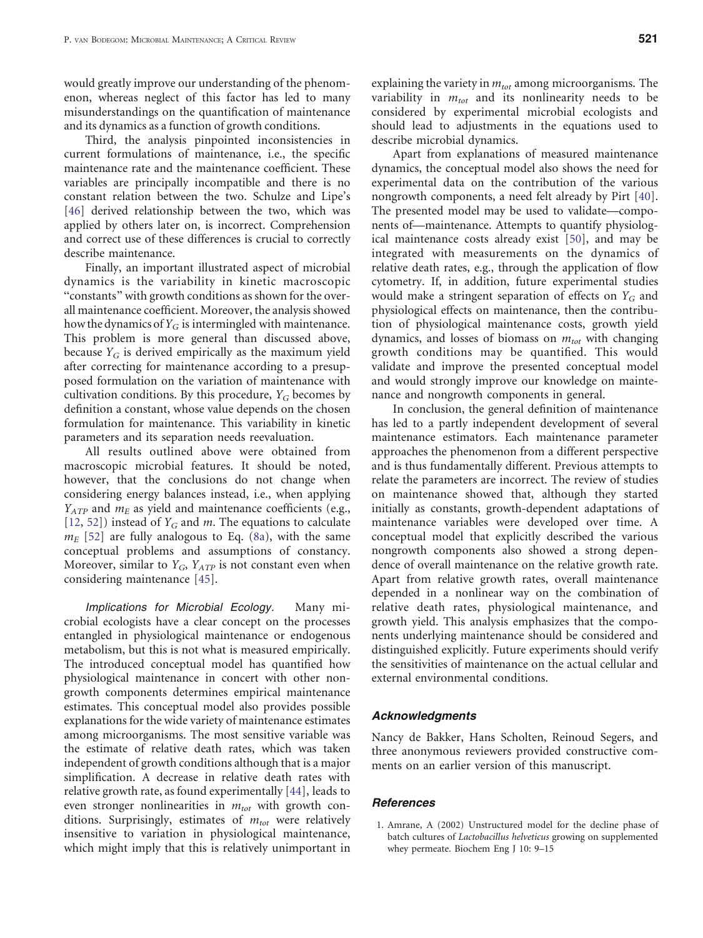<span id="page-9-0"></span>would greatly improve our understanding of the phenomenon, whereas neglect of this factor has led to many misunderstandings on the quantification of maintenance and its dynamics as a function of growth conditions.

Third, the analysis pinpointed inconsistencies in current formulations of maintenance, i.e., the specific maintenance rate and the maintenance coefficient. These variables are principally incompatible and there is no constant relation between the two. Schulze and Lipe's [[46\]](#page-10-0) derived relationship between the two, which was applied by others later on, is incorrect. Comprehension and correct use of these differences is crucial to correctly describe maintenance.

Finally, an important illustrated aspect of microbial dynamics is the variability in kinetic macroscopic "constants" with growth conditions as shown for the overall maintenance coefficient. Moreover, the analysis showed how the dynamics of  $Y_G$  is intermingled with maintenance. This problem is more general than discussed above, because  $Y_G$  is derived empirically as the maximum yield after correcting for maintenance according to a presupposed formulation on the variation of maintenance with cultivation conditions. By this procedure,  $Y_G$  becomes by definition a constant, whose value depends on the chosen formulation for maintenance. This variability in kinetic parameters and its separation needs reevaluation.

All results outlined above were obtained from macroscopic microbial features. It should be noted, however, that the conclusions do not change when considering energy balances instead, i.e., when applying  $Y_{ATP}$  and  $m_E$  as yield and maintenance coefficients (e.g., [[12,](#page-10-0) [52](#page-11-0)]) instead of  $Y_G$  and m. The equations to calculate  $m_E$  [[52\]](#page-11-0) are fully analogous to Eq. [\(8a\)](#page-4-0), with the same conceptual problems and assumptions of constancy. Moreover, similar to  $Y_G$ ,  $Y_{ATP}$  is not constant even when considering maintenance [[45\]](#page-10-0).

Implications for Microbial Ecology. Many microbial ecologists have a clear concept on the processes entangled in physiological maintenance or endogenous metabolism, but this is not what is measured empirically. The introduced conceptual model has quantified how physiological maintenance in concert with other nongrowth components determines empirical maintenance estimates. This conceptual model also provides possible explanations for the wide variety of maintenance estimates among microorganisms. The most sensitive variable was the estimate of relative death rates, which was taken independent of growth conditions although that is a major simplification. A decrease in relative death rates with relative growth rate, as found experimentally [[44\]](#page-10-0), leads to even stronger nonlinearities in  $m_{tot}$  with growth conditions. Surprisingly, estimates of  $m_{tot}$  were relatively insensitive to variation in physiological maintenance, which might imply that this is relatively unimportant in

explaining the variety in  $m_{tot}$  among microorganisms. The variability in  $m_{tot}$  and its nonlinearity needs to be considered by experimental microbial ecologists and should lead to adjustments in the equations used to describe microbial dynamics.

Apart from explanations of measured maintenance dynamics, the conceptual model also shows the need for experimental data on the contribution of the various nongrowth components, a need felt already by Pirt [[40\]](#page-10-0). The presented model may be used to validate—components of—maintenance. Attempts to quantify physiological maintenance costs already exist [\[50](#page-11-0)], and may be integrated with measurements on the dynamics of relative death rates, e.g., through the application of flow cytometry. If, in addition, future experimental studies would make a stringent separation of effects on  $Y_G$  and physiological effects on maintenance, then the contribution of physiological maintenance costs, growth yield dynamics, and losses of biomass on  $m_{tot}$  with changing growth conditions may be quantified. This would validate and improve the presented conceptual model and would strongly improve our knowledge on maintenance and nongrowth components in general.

In conclusion, the general definition of maintenance has led to a partly independent development of several maintenance estimators. Each maintenance parameter approaches the phenomenon from a different perspective and is thus fundamentally different. Previous attempts to relate the parameters are incorrect. The review of studies on maintenance showed that, although they started initially as constants, growth-dependent adaptations of maintenance variables were developed over time. A conceptual model that explicitly described the various nongrowth components also showed a strong dependence of overall maintenance on the relative growth rate. Apart from relative growth rates, overall maintenance depended in a nonlinear way on the combination of relative death rates, physiological maintenance, and growth yield. This analysis emphasizes that the components underlying maintenance should be considered and distinguished explicitly. Future experiments should verify the sensitivities of maintenance on the actual cellular and external environmental conditions.

#### Acknowledgments

Nancy de Bakker, Hans Scholten, Reinoud Segers, and three anonymous reviewers provided constructive comments on an earlier version of this manuscript.

#### **References**

1. Amrane, A (2002) Unstructured model for the decline phase of batch cultures of Lactobacillus helveticus growing on supplemented whey permeate. Biochem Eng J 10: 9–15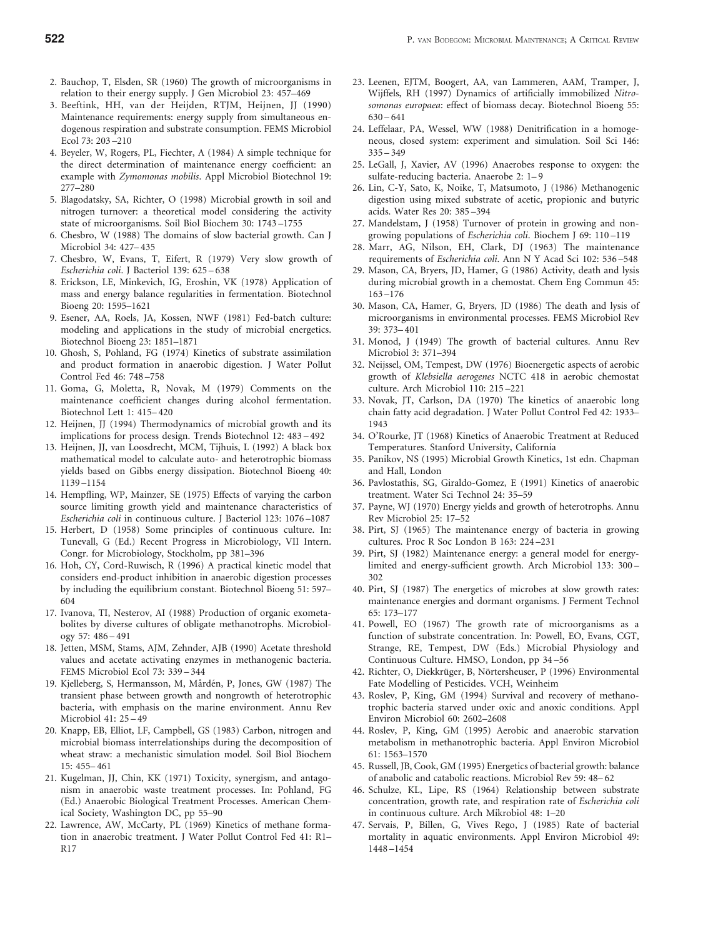- <span id="page-10-0"></span>2. Bauchop, T, Elsden, SR (1960) The growth of microorganisms in relation to their energy supply. J Gen Microbiol 23: 457–469
- 3. Beeftink, HH, van der Heijden, RTJM, Heijnen, JJ (1990) Maintenance requirements: energy supply from simultaneous endogenous respiration and substrate consumption. FEMS Microbiol Ecol 73: 203 –210
- 4. Beyeler, W, Rogers, PL, Fiechter, A (1984) A simple technique for the direct determination of maintenance energy coefficient: an example with Zymomonas mobilis. Appl Microbiol Biotechnol 19: 277–280
- 5. Blagodatsky, SA, Richter, O (1998) Microbial growth in soil and nitrogen turnover: a theoretical model considering the activity state of microorganisms. Soil Biol Biochem 30: 1743 –1755
- 6. Chesbro, W (1988) The domains of slow bacterial growth. Can J Microbiol 34: 427– 435
- 7. Chesbro, W, Evans, T, Eifert, R (1979) Very slow growth of Escherichia coli. J Bacteriol 139: 625 – 638
- 8. Erickson, LE, Minkevich, IG, Eroshin, VK (1978) Application of mass and energy balance regularities in fermentation. Biotechnol Bioeng 20: 1595–1621
- 9. Esener, AA, Roels, JA, Kossen, NWF (1981) Fed-batch culture: modeling and applications in the study of microbial energetics. Biotechnol Bioeng 23: 1851–1871
- 10. Ghosh, S, Pohland, FG (1974) Kinetics of substrate assimilation and product formation in anaerobic digestion. J Water Pollut Control Fed 46: 748 –758
- 11. Goma, G, Moletta, R, Novak, M (1979) Comments on the maintenance coefficient changes during alcohol fermentation. Biotechnol Lett 1: 415– 420
- 12. Heijnen, JJ (1994) Thermodynamics of microbial growth and its implications for process design. Trends Biotechnol 12: 483 – 492
- 13. Heijnen, JJ, van Loosdrecht, MCM, Tijhuis, L (1992) A black box mathematical model to calculate auto- and heterotrophic biomass yields based on Gibbs energy dissipation. Biotechnol Bioeng 40: 1139 –1154
- 14. Hempfling, WP, Mainzer, SE (1975) Effects of varying the carbon source limiting growth yield and maintenance characteristics of Escherichia coli in continuous culture. J Bacteriol 123: 1076 –1087
- 15. Herbert, D (1958) Some principles of continuous culture. In: Tunevall, G (Ed.) Recent Progress in Microbiology, VII Intern. Congr. for Microbiology, Stockholm, pp 381–396
- 16. Hoh, CY, Cord-Ruwisch, R (1996) A practical kinetic model that considers end-product inhibition in anaerobic digestion processes by including the equilibrium constant. Biotechnol Bioeng 51: 597– 604
- 17. Ivanova, TI, Nesterov, AI (1988) Production of organic exometabolites by diverse cultures of obligate methanotrophs. Microbiology 57: 486 – 491
- 18. Jetten, MSM, Stams, AJM, Zehnder, AJB (1990) Acetate threshold values and acetate activating enzymes in methanogenic bacteria. FEMS Microbiol Ecol 73: 339 – 344
- 19. Kjelleberg, S, Hermansson, M, Mårdén, P, Jones, GW (1987) The transient phase between growth and nongrowth of heterotrophic bacteria, with emphasis on the marine environment. Annu Rev Microbiol 41: 25 – 49
- 20. Knapp, EB, Elliot, LF, Campbell, GS (1983) Carbon, nitrogen and microbial biomass interrelationships during the decomposition of wheat straw: a mechanistic simulation model. Soil Biol Biochem 15: 455– 461
- 21. Kugelman, JJ, Chin, KK (1971) Toxicity, synergism, and antagonism in anaerobic waste treatment processes. In: Pohland, FG (Ed.) Anaerobic Biological Treatment Processes. American Chemical Society, Washington DC, pp 55–90
- 22. Lawrence, AW, McCarty, PL (1969) Kinetics of methane formation in anaerobic treatment. J Water Pollut Control Fed 41: R1– R17
- 23. Leenen, EJTM, Boogert, AA, van Lammeren, AAM, Tramper, J, Wijffels, RH (1997) Dynamics of artificially immobilized Nitrosomonas europaea: effect of biomass decay. Biotechnol Bioeng 55:  $630 - 641$
- 24. Leffelaar, PA, Wessel, WW (1988) Denitrification in a homogeneous, closed system: experiment and simulation. Soil Sci 146:  $335 - 349$
- 25. LeGall, J, Xavier, AV (1996) Anaerobes response to oxygen: the sulfate-reducing bacteria. Anaerobe 2: 1– 9
- 26. Lin, C-Y, Sato, K, Noike, T, Matsumoto, J (1986) Methanogenic digestion using mixed substrate of acetic, propionic and butyric acids. Water Res 20: 385 –394
- 27. Mandelstam, J (1958) Turnover of protein in growing and nongrowing populations of Escherichia coli. Biochem J 69: 110 –119
- 28. Marr, AG, Nilson, EH, Clark, DJ (1963) The maintenance requirements of Escherichia coli. Ann N Y Acad Sci 102: 536 –548
- 29. Mason, CA, Bryers, JD, Hamer, G (1986) Activity, death and lysis during microbial growth in a chemostat. Chem Eng Commun 45: 163 –176
- 30. Mason, CA, Hamer, G, Bryers, JD (1986) The death and lysis of microorganisms in environmental processes. FEMS Microbiol Rev 39: 373– 401
- 31. Monod, J (1949) The growth of bacterial cultures. Annu Rev Microbiol 3: 371–394
- 32. Neijssel, OM, Tempest, DW (1976) Bioenergetic aspects of aerobic growth of Klebsiella aerogenes NCTC 418 in aerobic chemostat culture. Arch Microbiol 110: 215 –221
- 33. Novak, JT, Carlson, DA (1970) The kinetics of anaerobic long chain fatty acid degradation. J Water Pollut Control Fed 42: 1933– 1943
- 34. O'Rourke, JT (1968) Kinetics of Anaerobic Treatment at Reduced Temperatures. Stanford University, California
- 35. Panikov, NS (1995) Microbial Growth Kinetics, 1st edn. Chapman and Hall, London
- 36. Pavlostathis, SG, Giraldo-Gomez, E (1991) Kinetics of anaerobic treatment. Water Sci Technol 24: 35–59
- 37. Payne, WJ (1970) Energy yields and growth of heterotrophs. Annu Rev Microbiol 25: 17–52
- 38. Pirt, SJ (1965) The maintenance energy of bacteria in growing cultures. Proc R Soc London B 163: 224 –231
- 39. Pirt, SJ (1982) Maintenance energy: a general model for energylimited and energy-sufficient growth. Arch Microbiol 133: 300 – 302
- 40. Pirt, SJ (1987) The energetics of microbes at slow growth rates: maintenance energies and dormant organisms. J Ferment Technol 65: 173–177
- 41. Powell, EO (1967) The growth rate of microorganisms as a function of substrate concentration. In: Powell, EO, Evans, CGT, Strange, RE, Tempest, DW (Eds.) Microbial Physiology and Continuous Culture. HMSO, London, pp 34 –56
- 42. Richter, O, Diekkrüger, B, Nörtersheuser, P (1996) Environmental Fate Modelling of Pesticides. VCH, Weinheim
- 43. Roslev, P, King, GM (1994) Survival and recovery of methanotrophic bacteria starved under oxic and anoxic conditions. Appl Environ Microbiol 60: 2602–2608
- 44. Roslev, P, King, GM (1995) Aerobic and anaerobic starvation metabolism in methanotrophic bacteria. Appl Environ Microbiol 61: 1563–1570
- 45. Russell, JB, Cook, GM (1995) Energetics of bacterial growth: balance of anabolic and catabolic reactions. Microbiol Rev 59: 48– 62
- 46. Schulze, KL, Lipe, RS (1964) Relationship between substrate concentration, growth rate, and respiration rate of Escherichia coli in continuous culture. Arch Mikrobiol 48: 1–20
- 47. Servais, P, Billen, G, Vives Rego, J (1985) Rate of bacterial mortality in aquatic environments. Appl Environ Microbiol 49: 1448 –1454